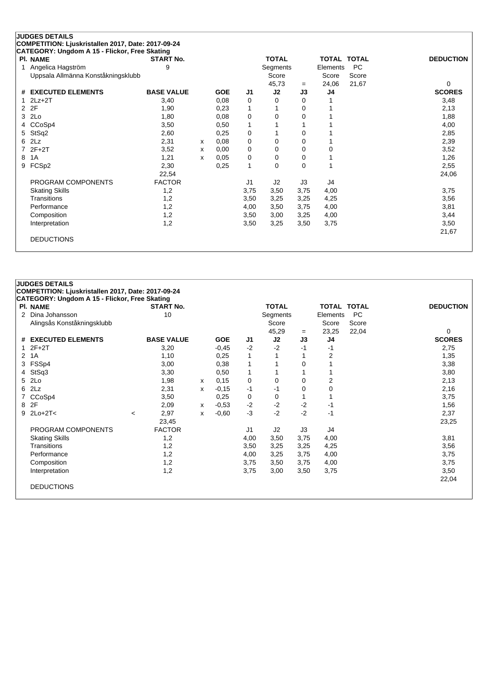|                | <b>JUDGES DETAILS</b>                              |                   |   |            |                |              |          |                    |           |                  |
|----------------|----------------------------------------------------|-------------------|---|------------|----------------|--------------|----------|--------------------|-----------|------------------|
|                | COMPETITION: Ljuskristallen 2017, Date: 2017-09-24 |                   |   |            |                |              |          |                    |           |                  |
|                | CATEGORY: Ungdom A 15 - Flickor, Free Skating      |                   |   |            |                |              |          |                    |           |                  |
|                | PI. NAME                                           | <b>START No.</b>  |   |            |                | <b>TOTAL</b> |          | <b>TOTAL TOTAL</b> |           | <b>DEDUCTION</b> |
|                | Angelica Hagström                                  | 9                 |   |            |                | Segments     |          | Elements           | <b>PC</b> |                  |
|                | Uppsala Allmänna Konståkningsklubb                 |                   |   |            |                | Score        |          | Score              | Score     |                  |
|                |                                                    |                   |   |            |                | 45,73        | $=$      | 24,06              | 21,67     | 0                |
| #              | <b>EXECUTED ELEMENTS</b>                           | <b>BASE VALUE</b> |   | <b>GOE</b> | J1             | J2           | J3       | J4                 |           | <b>SCORES</b>    |
|                | $2Lz+2T$                                           | 3,40              |   | 0,08       | 0              | 0            | $\Omega$ |                    |           | 3,48             |
| $\overline{2}$ | 2F                                                 | 1,90              |   | 0,23       | 1              |              | 0        |                    |           | 2,13             |
| 3              | 2Lo                                                | 1,80              |   | 0,08       | 0              | 0            | 0        |                    |           | 1,88             |
| 4              | CCoSp4                                             | 3,50              |   | 0,50       |                |              |          |                    |           | 4,00             |
| 5              | StSq2                                              | 2,60              |   | 0,25       | 0              |              | 0        |                    |           | 2,85             |
| 6              | 2Lz                                                | 2,31              | x | 0,08       | $\mathbf 0$    | $\Omega$     | 0        |                    |           | 2,39             |
|                | $2F+2T$                                            | 3,52              | x | 0,00       | 0              | 0            | 0        | 0                  |           | 3,52             |
| 8              | 1A                                                 | 1,21              | X | 0,05       | 0              | 0            | 0        |                    |           | 1,26             |
| 9              | FCSp2                                              | 2,30              |   | 0,25       | $\mathbf{1}$   | $\Omega$     | $\Omega$ | 4                  |           | 2,55             |
|                |                                                    | 22,54             |   |            |                |              |          |                    |           | 24,06            |
|                | PROGRAM COMPONENTS                                 | <b>FACTOR</b>     |   |            | J <sub>1</sub> | J2           | J3       | J4                 |           |                  |
|                | <b>Skating Skills</b>                              | 1,2               |   |            | 3,75           | 3,50         | 3,75     | 4,00               |           | 3,75             |
|                | Transitions                                        | 1,2               |   |            | 3,50           | 3,25         | 3,25     | 4,25               |           | 3,56             |
|                | Performance                                        | 1,2               |   |            | 4,00           | 3,50         | 3,75     | 4,00               |           | 3,81             |
|                | Composition                                        | 1,2               |   |            | 3,50           | 3,00         | 3,25     | 4,00               |           | 3,44             |
|                | Interpretation                                     | 1,2               |   |            | 3,50           | 3,25         | 3,50     | 3,75               |           | 3,50             |
|                |                                                    |                   |   |            |                |              |          |                    |           | 21,67            |
|                | <b>DEDUCTIONS</b>                                  |                   |   |            |                |              |          |                    |           |                  |
|                |                                                    |                   |   |            |                |              |          |                    |           |                  |

|    | <b>JUDGES DETAILS</b>                              |         |                   |   |            |             |              |          |                    |           |                  |
|----|----------------------------------------------------|---------|-------------------|---|------------|-------------|--------------|----------|--------------------|-----------|------------------|
|    | COMPETITION: Ljuskristallen 2017, Date: 2017-09-24 |         |                   |   |            |             |              |          |                    |           |                  |
|    | CATEGORY: Ungdom A 15 - Flickor, Free Skating      |         |                   |   |            |             |              |          |                    |           |                  |
|    | PI. NAME                                           |         | <b>START No.</b>  |   |            |             | <b>TOTAL</b> |          | <b>TOTAL TOTAL</b> |           | <b>DEDUCTION</b> |
| 2  | Dina Johansson                                     |         | 10                |   |            |             | Segments     |          | Elements           | <b>PC</b> |                  |
|    | Alingsås Konståkningsklubb                         |         |                   |   |            |             | Score        |          | Score              | Score     |                  |
|    |                                                    |         |                   |   |            |             | 45,29        | $=$      | 23,25              | 22,04     | 0                |
|    | # EXECUTED ELEMENTS                                |         | <b>BASE VALUE</b> |   | <b>GOE</b> | J1          | J2           | J3       | J4                 |           | <b>SCORES</b>    |
| 1. | $2F+2T$                                            |         | 3,20              |   | $-0,45$    | $-2$        | $-2$         | $-1$     | -1                 |           | 2,75             |
| 2  | 1A                                                 |         | 1,10              |   | 0,25       | 1           |              |          | 2                  |           | 1,35             |
| 3  | FSSp4                                              |         | 3,00              |   | 0,38       | 1           |              | $\Omega$ |                    |           | 3,38             |
| 4  | StSq3                                              |         | 3,30              |   | 0,50       | 1           | 1            |          |                    |           | 3,80             |
| 5. | 2Lo                                                |         | 1,98              | x | 0,15       | $\mathbf 0$ | 0            | 0        | 2                  |           | 2,13             |
| 6  | 2Lz                                                |         | 2,31              | x | $-0,15$    | -1          | -1           | 0        | 0                  |           | 2,16             |
|    | CCoSp4                                             |         | 3,50              |   | 0,25       | 0           | 0            |          |                    |           | 3,75             |
| 8  | 2F                                                 |         | 2,09              | х | $-0,53$    | $-2$        | $-2$         | $-2$     | $-1$               |           | 1,56             |
| 9  | $2Lo+2T<$                                          | $\prec$ | 2,97              | x | $-0.60$    | $-3$        | $-2$         | $-2$     | $-1$               |           | 2,37             |
|    |                                                    |         | 23,45             |   |            |             |              |          |                    |           | 23,25            |
|    | PROGRAM COMPONENTS                                 |         | <b>FACTOR</b>     |   |            | J1          | J2           | J3       | J4                 |           |                  |
|    | <b>Skating Skills</b>                              |         | 1,2               |   |            | 4,00        | 3,50         | 3,75     | 4,00               |           | 3,81             |
|    | Transitions                                        |         | 1,2               |   |            | 3,50        | 3,25         | 3,25     | 4,25               |           | 3,56             |
|    | Performance                                        |         | 1,2               |   |            | 4,00        | 3,25         | 3,75     | 4,00               |           | 3,75             |
|    | Composition                                        |         | 1,2               |   |            | 3,75        | 3,50         | 3,75     | 4,00               |           | 3,75             |
|    | Interpretation                                     |         | 1,2               |   |            | 3,75        | 3,00         | 3,50     | 3,75               |           | 3,50             |
|    |                                                    |         |                   |   |            |             |              |          |                    |           | 22,04            |
|    | <b>DEDUCTIONS</b>                                  |         |                   |   |            |             |              |          |                    |           |                  |
|    |                                                    |         |                   |   |            |             |              |          |                    |           |                  |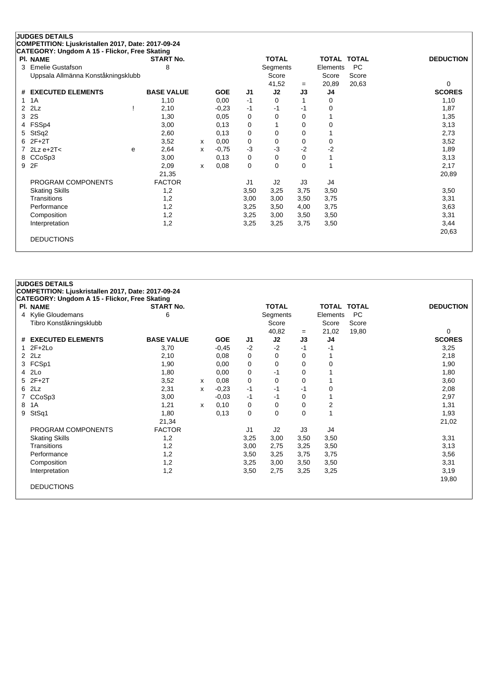|               | <b>JUDGES DETAILS</b>                              |   |                   |              |            |                |              |          |                    |           |                  |
|---------------|----------------------------------------------------|---|-------------------|--------------|------------|----------------|--------------|----------|--------------------|-----------|------------------|
|               | COMPETITION: Ljuskristallen 2017, Date: 2017-09-24 |   |                   |              |            |                |              |          |                    |           |                  |
|               | CATEGORY: Ungdom A 15 - Flickor, Free Skating      |   |                   |              |            |                |              |          |                    |           |                  |
|               | PI. NAME                                           |   | <b>START No.</b>  |              |            |                | <b>TOTAL</b> |          | <b>TOTAL TOTAL</b> |           | <b>DEDUCTION</b> |
| 3             | Emelie Gustafson                                   |   | 8                 |              |            |                | Segments     |          | Elements           | <b>PC</b> |                  |
|               | Uppsala Allmänna Konståkningsklubb                 |   |                   |              |            |                | Score        |          | Score              | Score     |                  |
|               |                                                    |   |                   |              |            |                | 41,52        | $=$      | 20,89              | 20,63     | 0                |
| #             | <b>EXECUTED ELEMENTS</b>                           |   | <b>BASE VALUE</b> |              | <b>GOE</b> | J1             | J2           | J3       | J4                 |           | <b>SCORES</b>    |
|               | 1A                                                 |   | 1,10              |              | 0,00       | $-1$           | 0            | 1        | 0                  |           | 1,10             |
| $\mathcal{P}$ | 2Lz                                                |   | 2,10              |              | $-0,23$    | -1             | $-1$         | $-1$     | 0                  |           | 1,87             |
| 3             | 2S                                                 |   | 1,30              |              | 0,05       | 0              | 0            | 0        |                    |           | 1,35             |
| 4             | FSSp4                                              |   | 3,00              |              | 0,13       | 0              |              | $\Omega$ | 0                  |           | 3,13             |
| 5             | StSq2                                              |   | 2,60              |              | 0,13       | 0              | 0            | 0        |                    |           | 2,73             |
|               | $2F+2T$                                            |   | 3,52              | x            | 0,00       | 0              | 0            | 0        | 0                  |           | 3,52             |
|               | $2Lz e+2T2$                                        | e | 2,64              | X            | $-0,75$    | $-3$           | $-3$         | $-2$     | $-2$               |           | 1,89             |
| 8             | CCoSp3                                             |   | 3,00              |              | 0,13       | 0              | 0            | 0        | 1                  |           | 3,13             |
| 9             | 2F                                                 |   | 2,09              | $\mathsf{x}$ | 0,08       | 0              | 0            | $\Omega$ | 1                  |           | 2,17             |
|               |                                                    |   | 21,35             |              |            |                |              |          |                    |           | 20,89            |
|               | PROGRAM COMPONENTS                                 |   | <b>FACTOR</b>     |              |            | J <sub>1</sub> | J2           | J3       | J4                 |           |                  |
|               | <b>Skating Skills</b>                              |   | 1,2               |              |            | 3,50           | 3,25         | 3,75     | 3,50               |           | 3,50             |
|               | Transitions                                        |   | 1,2               |              |            | 3,00           | 3,00         | 3,50     | 3,75               |           | 3,31             |
|               | Performance                                        |   | 1,2               |              |            | 3,25           | 3,50         | 4,00     | 3,75               |           | 3,63             |
|               | Composition                                        |   | 1,2               |              |            | 3,25           | 3,00         | 3,50     | 3,50               |           | 3,31             |
|               | Interpretation                                     |   | 1,2               |              |            | 3,25           | 3,25         | 3,75     | 3,50               |           | 3,44             |
|               |                                                    |   |                   |              |            |                |              |          |                    |           | 20,63            |
|               | <b>DEDUCTIONS</b>                                  |   |                   |              |            |                |              |          |                    |           |                  |
|               |                                                    |   |                   |              |            |                |              |          |                    |           |                  |

|                | <b>JUDGES DETAILS</b>                              |                   |   |            |                |              |          |                    |       |                  |
|----------------|----------------------------------------------------|-------------------|---|------------|----------------|--------------|----------|--------------------|-------|------------------|
|                | COMPETITION: Ljuskristallen 2017, Date: 2017-09-24 |                   |   |            |                |              |          |                    |       |                  |
|                | CATEGORY: Ungdom A 15 - Flickor, Free Skating      |                   |   |            |                |              |          |                    |       |                  |
|                | <b>PI. NAME</b>                                    | <b>START No.</b>  |   |            |                | <b>TOTAL</b> |          | <b>TOTAL TOTAL</b> |       | <b>DEDUCTION</b> |
|                | 4 Kylie Gloudemans                                 | 6                 |   |            |                | Segments     |          | Elements           | PC    |                  |
|                | Tibro Konståkningsklubb                            |                   |   |            |                | Score        |          | Score              | Score |                  |
|                |                                                    |                   |   |            |                | 40,82        | $=$      | 21,02              | 19,80 | 0                |
|                | # EXECUTED ELEMENTS                                | <b>BASE VALUE</b> |   | <b>GOE</b> | J <sub>1</sub> | J2           | J3       | J4                 |       | <b>SCORES</b>    |
| 1              | $2F+2Lo$                                           | 3,70              |   | $-0,45$    | $-2$           | $-2$         | -1       | -1                 |       | 3,25             |
| $\overline{2}$ | 2Lz                                                | 2,10              |   | 0,08       | 0              | $\Omega$     | 0        |                    |       | 2,18             |
| 3              | FCSp1                                              | 1,90              |   | 0,00       | 0              | $\Omega$     | 0        | 0                  |       | 1,90             |
|                | 4 2Lo                                              | 1,80              |   | 0.00       | 0              | -1           | 0        |                    |       | 1,80             |
|                | $5$ $2F+2T$                                        | 3,52              | x | 0,08       | 0              | 0            | 0        |                    |       | 3,60             |
| 6              | 2Lz                                                | 2,31              | x | $-0,23$    | -1             | -1           | $-1$     | 0                  |       | 2,08             |
|                | CCoSp3                                             | 3,00              |   | $-0.03$    | -1             | -1           | 0        | 1                  |       | 2,97             |
| 8              | 1A                                                 | 1,21              | x | 0,10       | 0              | 0            | $\Omega$ | 2                  |       | 1,31             |
| 9              | StSq1                                              | 1,80              |   | 0,13       | 0              | 0            | 0        | 1                  |       | 1,93             |
|                |                                                    | 21,34             |   |            |                |              |          |                    |       | 21,02            |
|                | PROGRAM COMPONENTS                                 | <b>FACTOR</b>     |   |            | J1             | J2           | J3       | J4                 |       |                  |
|                | <b>Skating Skills</b>                              | 1,2               |   |            | 3,25           | 3,00         | 3,50     | 3,50               |       | 3,31             |
|                | Transitions                                        | 1,2               |   |            | 3,00           | 2,75         | 3,25     | 3,50               |       | 3,13             |
|                | Performance                                        | 1,2               |   |            | 3,50           | 3,25         | 3,75     | 3,75               |       | 3,56             |
|                | Composition                                        | 1,2               |   |            | 3,25           | 3,00         | 3,50     | 3,50               |       | 3,31             |
|                | Interpretation                                     | 1,2               |   |            | 3,50           | 2,75         | 3,25     | 3,25               |       | 3,19             |
|                |                                                    |                   |   |            |                |              |          |                    |       | 19,80            |
|                | <b>DEDUCTIONS</b>                                  |                   |   |            |                |              |          |                    |       |                  |
|                |                                                    |                   |   |            |                |              |          |                    |       |                  |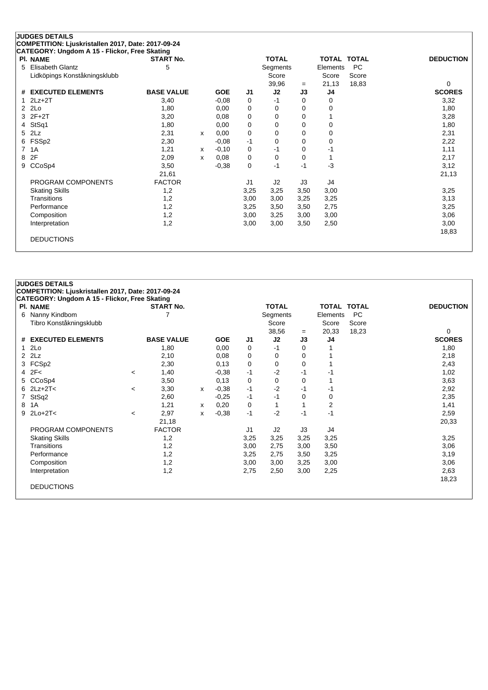| <b>PI. NAME</b>              | <b>START No.</b>  |   |            |                | <b>TOTAL</b> |          |          | <b>TOTAL TOTAL</b> | <b>DEDUCTION</b> |
|------------------------------|-------------------|---|------------|----------------|--------------|----------|----------|--------------------|------------------|
| <b>Elisabeth Glantz</b><br>5 | 5                 |   |            |                | Segments     |          | Elements | <b>PC</b>          |                  |
| Lidköpings Konståkningsklubb |                   |   |            |                | Score        |          | Score    | Score              |                  |
|                              |                   |   |            |                | 39,96        | $=$      | 21,13    | 18,83              | 0                |
| # EXECUTED ELEMENTS          | <b>BASE VALUE</b> |   | <b>GOE</b> | J1             | J2           | J3       | J4       |                    | <b>SCORES</b>    |
| $2Lz+2T$                     | 3,40              |   | $-0,08$    | 0              | $-1$         | 0        | 0        |                    | 3,32             |
| 2Lo<br>$\overline{2}$        | 1,80              |   | 0,00       | 0              | 0            | 0        | 0        |                    | 1,80             |
| $2F+2T$<br>3                 | 3,20              |   | 0,08       | 0              | 0            | 0        |          |                    | 3,28             |
| StSq1<br>4                   | 1,80              |   | 0,00       | 0              | 0            | $\Omega$ | $\Omega$ |                    | 1,80             |
| 2Lz<br>5.                    | 2,31              | x | 0,00       | 0              | 0            | $\Omega$ | 0        |                    | 2,31             |
| FSSp2<br>6                   | 2,30              |   | $-0,08$    | $-1$           | 0            | 0        | 0        |                    | 2,22             |
| 1A<br>7                      | 1,21              | x | $-0,10$    | 0              | -1           | 0        | -1       |                    | 1,11             |
| 2F<br>8                      | 2,09              | x | 0,08       | 0              | 0            | 0        |          |                    | 2,17             |
| CCoSp4<br>9                  | 3,50              |   | $-0,38$    | 0              | $-1$         | $-1$     | $-3$     |                    | 3,12             |
|                              | 21,61             |   |            |                |              |          |          |                    | 21,13            |
| PROGRAM COMPONENTS           | <b>FACTOR</b>     |   |            | J <sub>1</sub> | J2           | J3       | J4       |                    |                  |
| <b>Skating Skills</b>        | 1,2               |   |            | 3,25           | 3,25         | 3,50     | 3,00     |                    | 3,25             |
| Transitions                  | 1,2               |   |            | 3,00           | 3,00         | 3,25     | 3,25     |                    | 3,13             |
| Performance                  | 1,2               |   |            | 3,25           | 3,50         | 3,50     | 2,75     |                    | 3,25             |
| Composition                  | 1,2               |   |            | 3,00           | 3,25         | 3,00     | 3,00     |                    | 3,06             |
| Interpretation               | 1,2               |   |            | 3,00           | 3,00         | 3,50     | 2,50     |                    | 3,00             |
|                              |                   |   |            |                |              |          |          |                    | 18,83            |

|   | <b>JUDGES DETAILS</b>                              |                          |                   |   |            |                |              |          |                         |           |                  |
|---|----------------------------------------------------|--------------------------|-------------------|---|------------|----------------|--------------|----------|-------------------------|-----------|------------------|
|   | COMPETITION: Ljuskristallen 2017, Date: 2017-09-24 |                          |                   |   |            |                |              |          |                         |           |                  |
|   | CATEGORY: Ungdom A 15 - Flickor, Free Skating      |                          |                   |   |            |                |              |          |                         |           |                  |
|   | PI. NAME                                           |                          | <b>START No.</b>  |   |            |                | <b>TOTAL</b> |          | <b>TOTAL TOTAL</b>      |           | <b>DEDUCTION</b> |
| 6 | Nanny Kindbom                                      |                          |                   |   |            |                | Segments     |          | Elements                | <b>PC</b> |                  |
|   | Tibro Konståkningsklubb                            |                          |                   |   |            |                | Score        |          | Score                   | Score     |                  |
|   |                                                    |                          |                   |   |            |                | 38,56        | $=$      | 20,33                   | 18,23     | 0                |
| # | <b>EXECUTED ELEMENTS</b>                           |                          | <b>BASE VALUE</b> |   | <b>GOE</b> | J1             | J2           | J3       | J4                      |           | <b>SCORES</b>    |
| 1 | 2Lo                                                |                          | 1,80              |   | 0,00       | 0              | -1           | 0        |                         |           | 1,80             |
| 2 | 2Lz                                                |                          | 2,10              |   | 0,08       | 0              | $\Omega$     | $\Omega$ |                         |           | 2,18             |
| 3 | FCSp2                                              |                          | 2,30              |   | 0,13       | 0              | 0            | $\Omega$ |                         |           | 2,43             |
| 4 | 2F<                                                | $\,<$                    | 1,40              |   | $-0.38$    | $-1$           | $-2$         | -1       | -1                      |           | 1,02             |
| 5 | CCoSp4                                             |                          | 3,50              |   | 0,13       | 0              | 0            | 0        |                         |           | 3,63             |
|   | $6$ 2Lz+2T<                                        | $\,<\,$                  | 3,30              | x | $-0.38$    | $-1$           | $-2$         | -1       | -1                      |           | 2,92             |
| 7 | StSq2                                              |                          | 2,60              |   | $-0.25$    | -1             | -1           | 0        | 0                       |           | 2,35             |
| 8 | 1A                                                 |                          | 1,21              | х | 0,20       | 0              |              |          | $\overline{\mathbf{c}}$ |           | 1,41             |
| 9 | $2Lo+2T<$                                          | $\overline{\phantom{a}}$ | 2,97              | x | $-0,38$    | $-1$           | $-2$         | -1       | $-1$                    |           | 2,59             |
|   |                                                    |                          | 21,18             |   |            |                |              |          |                         |           | 20,33            |
|   | PROGRAM COMPONENTS                                 |                          | <b>FACTOR</b>     |   |            | J <sub>1</sub> | J2           | J3       | J4                      |           |                  |
|   | <b>Skating Skills</b>                              |                          | 1,2               |   |            | 3,25           | 3,25         | 3,25     | 3,25                    |           | 3,25             |
|   | <b>Transitions</b>                                 |                          | 1,2               |   |            | 3,00           | 2,75         | 3,00     | 3,50                    |           | 3,06             |
|   | Performance                                        |                          | 1,2               |   |            | 3,25           | 2,75         | 3,50     | 3,25                    |           | 3,19             |
|   | Composition                                        |                          | 1,2               |   |            | 3,00           | 3,00         | 3,25     | 3,00                    |           | 3,06             |
|   | Interpretation                                     |                          | 1,2               |   |            | 2,75           | 2,50         | 3,00     | 2,25                    |           | 2,63             |
|   |                                                    |                          |                   |   |            |                |              |          |                         |           | 18,23            |
|   | <b>DEDUCTIONS</b>                                  |                          |                   |   |            |                |              |          |                         |           |                  |
|   |                                                    |                          |                   |   |            |                |              |          |                         |           |                  |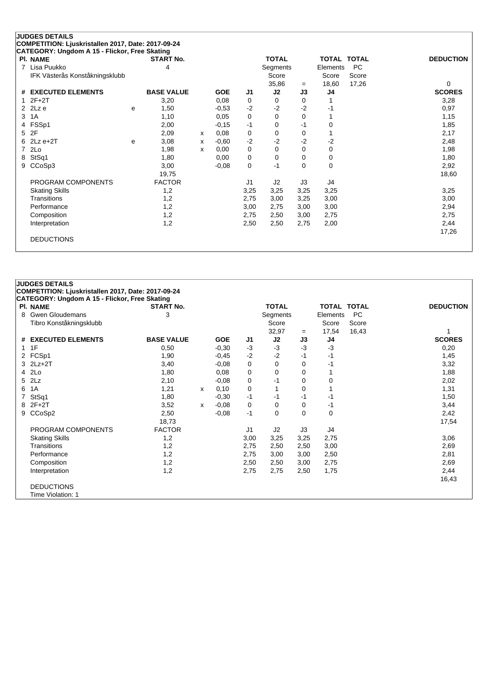|   | <b>JUDGES DETAILS</b>                              |   |                   |   |            |                |              |          |                    |           |                  |
|---|----------------------------------------------------|---|-------------------|---|------------|----------------|--------------|----------|--------------------|-----------|------------------|
|   | COMPETITION: Ljuskristallen 2017, Date: 2017-09-24 |   |                   |   |            |                |              |          |                    |           |                  |
|   | CATEGORY: Ungdom A 15 - Flickor, Free Skating      |   |                   |   |            |                |              |          |                    |           |                  |
|   | PI. NAME                                           |   | <b>START No.</b>  |   |            |                | <b>TOTAL</b> |          | <b>TOTAL TOTAL</b> |           | <b>DEDUCTION</b> |
| 7 | Lisa Puukko                                        |   | 4                 |   |            |                | Segments     |          | Elements           | <b>PC</b> |                  |
|   | IFK Västerås Konståkningsklubb                     |   |                   |   |            |                | Score        |          | Score              | Score     |                  |
|   |                                                    |   |                   |   |            |                | 35,86        | $=$      | 18,60              | 17,26     | 0                |
| # | <b>EXECUTED ELEMENTS</b>                           |   | <b>BASE VALUE</b> |   | <b>GOE</b> | J <sub>1</sub> | J2           | J3       | J4                 |           | <b>SCORES</b>    |
|   | $2F+2T$                                            |   | 3,20              |   | 0,08       | 0              | 0            | 0        |                    |           | 3,28             |
| 2 | 2Lz e                                              | e | 1,50              |   | $-0.53$    | $-2$           | $-2$         | $-2$     | -1                 |           | 0,97             |
| 3 | 1A                                                 |   | 1,10              |   | 0,05       | 0              | 0            | 0        |                    |           | 1,15             |
| 4 | FSSp1                                              |   | 2,00              |   | $-0,15$    | -1             | 0            | $-1$     | 0                  |           | 1,85             |
| 5 | 2F                                                 |   | 2,09              | x | 0,08       | 0              | 0            | 0        |                    |           | 2,17             |
| 6 | $2Lz e+2T$                                         | e | 3,08              | x | $-0,60$    | $-2$           | $-2$         | $-2$     | $-2$               |           | 2,48             |
| 7 | 2Lo                                                |   | 1,98              | X | 0,00       | 0              | 0            | 0        | 0                  |           | 1,98             |
| 8 | StSq1                                              |   | 1,80              |   | 0,00       | 0              | 0            | 0        | 0                  |           | 1,80             |
| 9 | CCoSp3                                             |   | 3,00              |   | $-0.08$    | 0              | $-1$         | $\Omega$ | 0                  |           | 2,92             |
|   |                                                    |   | 19,75             |   |            |                |              |          |                    |           | 18,60            |
|   | PROGRAM COMPONENTS                                 |   | <b>FACTOR</b>     |   |            | J <sub>1</sub> | J2           | J3       | J4                 |           |                  |
|   | <b>Skating Skills</b>                              |   | 1,2               |   |            | 3,25           | 3,25         | 3,25     | 3,25               |           | 3,25             |
|   | Transitions                                        |   | 1,2               |   |            | 2,75           | 3,00         | 3,25     | 3,00               |           | 3,00             |
|   | Performance                                        |   | 1,2               |   |            | 3,00           | 2,75         | 3,00     | 3,00               |           | 2,94             |
|   | Composition                                        |   | 1,2               |   |            | 2,75           | 2,50         | 3,00     | 2,75               |           | 2,75             |
|   | Interpretation                                     |   | 1,2               |   |            | 2,50           | 2,50         | 2,75     | 2,00               |           | 2,44             |
|   |                                                    |   |                   |   |            |                |              |          |                    |           | 17,26            |
|   | <b>DEDUCTIONS</b>                                  |   |                   |   |            |                |              |          |                    |           |                  |
|   |                                                    |   |                   |   |            |                |              |          |                    |           |                  |

## **JUDGES DETAILS COMPETITION: Ljuskristallen 2017, Date: 2017-09-24 CATEGORY: Ungdom A 15 - Flickor, Free Skating Pl. NAME START No. TOTAL TOTAL TOTAL DEDUCTION** 8 Gwen Gloudemans 3 3 Segments Elements PC Tibro Konståkningsklubb Score Score Score Score Score Score Score Score Score Score Score Score Score Score Score Score Score Score Score Score Score Score Score Score Score Score Score Score Score Score Score Score Score 32,97 <sup>=</sup> 17,54 16,43 1 **# EXECUTED ELEMENTS BASE VALUE GOE J1 J2 J3 J4 SCORES** 1 1 F 1 2 20 3 20 3 3 4 3 4 3 4  $0,20$ 2 FCSp1 1,90 -0,45 -2 -2 -1 1,45  $3.2$ Lz+2T 3,32  $3.32$ 4 2Lo 1,80 0,08 0 0 0 1 1,88 5 2Lz 2,10 -0,08 0 -1 0 0 2,02 6 1A 1,21 <sup>x</sup> 0,10 0 1 0 1 1,31 7 StSq1 1,80 -0,30 -1 -1 -1 -1 1,50 8 2F+2T 3,52 <sup>x</sup> -0,08 0 0 0 -1 3,44 9 CCoSp2 2,50 -0,08 -1 0 0 0 2,42 18,73 17,54 PROGRAM COMPONENTS FACTOR J1 J2 J3 J4 Skating Skills 1,2 3,00 3,25 3,25 2,75 3,06 Transitions 1,2 2,75 2,50 2,50 3,00 2,69 Performance 1,2 2,75 3,00 3,00 2,50 2,81 Composition 1,2 2,50 2,50 3,00 2,75 2,69 Interpretation 1,2 2,75 2,75 2,50 1,75 2,44 16,43 DEDUCTIONS Time Violation: 1